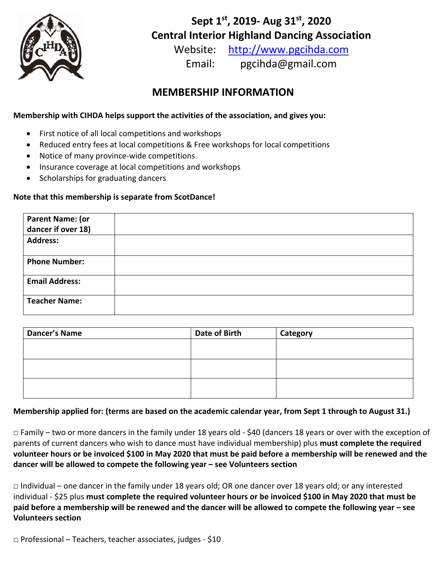

# **Sept 1st, 2019- Aug 31st, 2020 Central Interior Highland Dancing Association**

Website: http://www.pgcihda.com Email: pgcihda@gmail.com

## **MEMBERSHIP INFORMATION**

## **Membership with CIHDA helps support the activities of the association, and gives you:**

- First notice of all local competitions and workshops
- Reduced entry fees at local competitions & Free workshops for local competitions
- Notice of many province-wide competitions
- Insurance coverage at local competitions and workshops
- Scholarships for graduating dancers

### **Note that this membership is separate from ScotDance!**

| <b>Parent Name: (or</b> |  |
|-------------------------|--|
| dancer if over 18)      |  |
| <b>Address:</b>         |  |
|                         |  |
| <b>Phone Number:</b>    |  |
|                         |  |
| <b>Email Address:</b>   |  |
|                         |  |
| <b>Teacher Name:</b>    |  |
|                         |  |

| <b>Dancer's Name</b> | Date of Birth | Category |
|----------------------|---------------|----------|
|                      |               |          |
|                      |               |          |
|                      |               |          |
|                      |               |          |
|                      |               |          |
|                      |               |          |

### **Membership applied for: (terms are based on the academic calendar year, from Sept 1 through to August 31.)**

□ Family – two or more dancers in the family under 18 years old - \$40 (dancers 18 years or over with the exception of parents of current dancers who wish to dance must have individual membership) plus **must complete the required volunteer hours or be invoiced \$100 in May 2020 that must be paid before a membership will be renewed and the dancer will be allowed to compete the following year – see Volunteers section**

 $\Box$  Individual – one dancer in the family under 18 years old; OR one dancer over 18 years old; or any interested individual - \$25 plus **must complete the required volunteer hours or be invoiced \$100 in May 2020 that must be paid before a membership will be renewed and the dancer will be allowed to compete the following year – see Volunteers section**

□ Professional – Teachers, teacher associates, judges - \$10